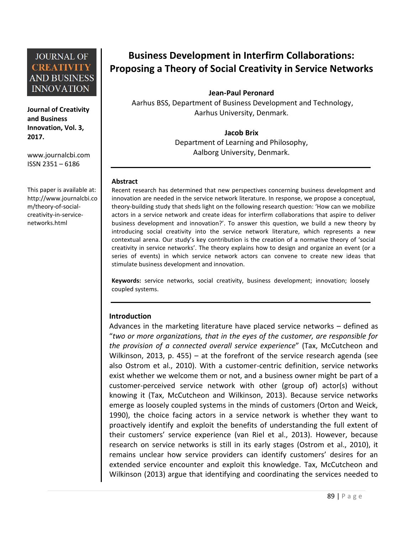**Journal of Creativity and Business Innovation, Vol. 3, 2017.**

[www.journalcbi.com](http://www.journalcbi.com/) ISSN 2351 – 6186

This paper is available at: [http://www.journalcbi.co](http://www.journalcbi.com/ideation-using-analogies.html) [m/theory-of-social](http://www.journalcbi.com/ideation-using-analogies.html)[creativity-in-service](http://www.journalcbi.com/ideation-using-analogies.html)[networks.html](http://www.journalcbi.com/ideation-using-analogies.html) 

# **Business Development in Interfirm Collaborations: Proposing a Theory of Social Creativity in Service Networks**

**Jean-Paul Peronard**

Aarhus BSS, Department of Business Development and Technology, Aarhus University, Denmark.

> **Jacob Brix** Department of Learning and Philosophy, Aalborg University, Denmark.

#### **Abstract**

Recent research has determined that new perspectives concerning business development and innovation are needed in the service network literature. In response, we propose a conceptual, theory-building study that sheds light on the following research question: 'How can we mobilize actors in a service network and create ideas for interfirm collaborations that aspire to deliver business development and innovation?'. To answer this question, we build a new theory by introducing social creativity into the service network literature, which represents a new contextual arena. Our study's key contribution is the creation of a normative theory of 'social creativity in service networks'. The theory explains how to design and organize an event (or a series of events) in which service network actors can convene to create new ideas that stimulate business development and innovation.

**Keywords:** service networks, social creativity, business development; innovation; loosely coupled systems.

#### **Introduction**

Advances in the marketing literature have placed service networks – defined as "*two or more organizations, that in the eyes of the customer, are responsible for the provision of a connected overall service experience*" (Tax, McCutcheon and Wilkinson, 2013, p. 455) – at the forefront of the service research agenda (see also Ostrom et al., 2010). With a customer-centric definition, service networks exist whether we welcome them or not, and a business owner might be part of a customer-perceived service network with other (group of) actor(s) without knowing it (Tax, McCutcheon and Wilkinson, 2013). Because service networks emerge as loosely coupled systems in the minds of customers (Orton and Weick, 1990), the choice facing actors in a service network is whether they want to proactively identify and exploit the benefits of understanding the full extent of their customers' service experience (van Riel et al., 2013). However, because research on service networks is still in its early stages (Ostrom et al., 2010), it remains unclear how service providers can identify customers' desires for an extended service encounter and exploit this knowledge. Tax, McCutcheon and Wilkinson (2013) argue that identifying and coordinating the services needed to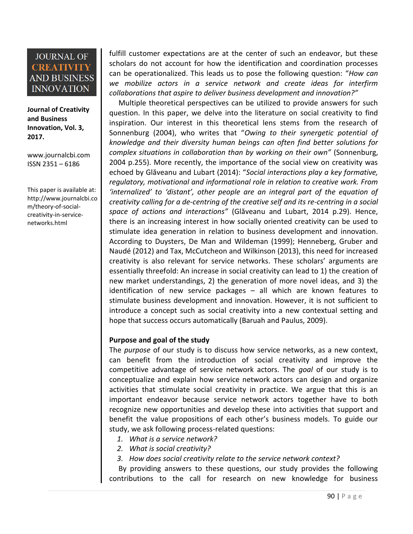**Journal of Creativity and Business Innovation, Vol. 3, 2017.**

[www.journalcbi.com](http://www.journalcbi.com/) ISSN 2351 – 6186

This paper is available at: [http://www.journalcbi.co](http://www.journalcbi.com/ideation-using-analogies.html) [m/theory-of-social](http://www.journalcbi.com/ideation-using-analogies.html)[creativity-in-service](http://www.journalcbi.com/ideation-using-analogies.html)[networks.html](http://www.journalcbi.com/ideation-using-analogies.html) 

fulfill customer expectations are at the center of such an endeavor, but these scholars do not account for how the identification and coordination processes can be operationalized. This leads us to pose the following question: "*How can we mobilize actors in a service network and create ideas for interfirm collaborations that aspire to deliver business development and innovation?"*

 Multiple theoretical perspectives can be utilized to provide answers for such question. In this paper, we delve into the literature on social creativity to find inspiration. Our interest in this theoretical lens stems from the research of Sonnenburg (2004), who writes that "*Owing to their synergetic potential of knowledge and their diversity human beings can often find better solutions for complex situations in collaboration than by working on their own"* (Sonnenburg, 2004 p.255). More recently, the importance of the social view on creativity was echoed by Glăveanu and Lubart (2014): "*Social interactions play a key formative, regulatory, motivational and informational role in relation to creative work. From 'internalized' to 'distant', other people are an integral part of the equation of creativity calling for a de-centring of the creative self and its re-centring in a social space of actions and interactions"* (Glăveanu and Lubart, 2014 p.29). Hence, there is an increasing interest in how socially oriented creativity can be used to stimulate idea generation in relation to business development and innovation. According to Duysters, De Man and Wildeman (1999); Henneberg, Gruber and Naudé (2012) and Tax, McCutcheon and Wilkinson (2013), this need for increased creativity is also relevant for service networks. These scholars' arguments are essentially threefold: An increase in social creativity can lead to 1) the creation of new market understandings, 2) the generation of more novel ideas, and 3) the identification of new service packages – all which are known features to stimulate business development and innovation. However, it is not sufficient to introduce a concept such as social creativity into a new contextual setting and hope that success occurs automatically (Baruah and Paulus, 2009).

#### **Purpose and goal of the study**

The *purpose* of our study is to discuss how service networks, as a new context, can benefit from the introduction of social creativity and improve the competitive advantage of service network actors. The *goal* of our study is to conceptualize and explain how service network actors can design and organize activities that stimulate social creativity in practice. We argue that this is an important endeavor because service network actors together have to both recognize new opportunities and develop these into activities that support and benefit the value propositions of each other's business models. To guide our study, we ask following process-related questions:

- *1. What is a service network?*
- *2. What is social creativity?*
- *3. How does social creativity relate to the service network context?*

 By providing answers to these questions, our study provides the following contributions to the call for research on new knowledge for business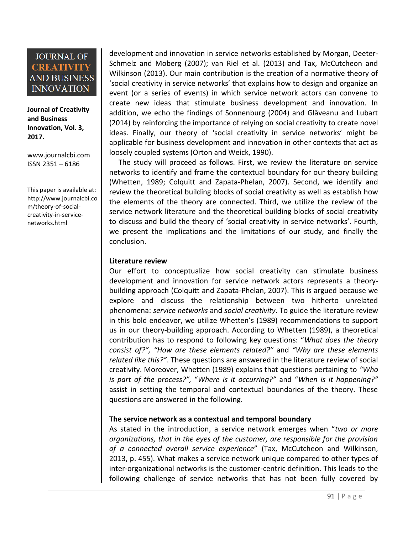**Journal of Creativity and Business Innovation, Vol. 3, 2017.**

[www.journalcbi.com](http://www.journalcbi.com/) ISSN 2351 – 6186

This paper is available at: [http://www.journalcbi.co](http://www.journalcbi.com/ideation-using-analogies.html) [m/theory-of-social](http://www.journalcbi.com/ideation-using-analogies.html)[creativity-in-service](http://www.journalcbi.com/ideation-using-analogies.html)[networks.html](http://www.journalcbi.com/ideation-using-analogies.html) 

development and innovation in service networks established by Morgan, Deeter-Schmelz and Moberg (2007); van Riel et al. (2013) and Tax, McCutcheon and Wilkinson (2013). Our main contribution is the creation of a normative theory of 'social creativity in service networks' that explains how to design and organize an event (or a series of events) in which service network actors can convene to create new ideas that stimulate business development and innovation. In addition, we echo the findings of Sonnenburg (2004) and Glăveanu and Lubart (2014) by reinforcing the importance of relying on social creativity to create novel ideas. Finally, our theory of 'social creativity in service networks' might be applicable for business development and innovation in other contexts that act as loosely coupled systems (Orton and Weick, 1990).

 The study will proceed as follows. First, we review the literature on service networks to identify and frame the contextual boundary for our theory building (Whetten, 1989; Colquitt and Zapata-Phelan, 2007). Second, we identify and review the theoretical building blocks of social creativity as well as establish how the elements of the theory are connected. Third, we utilize the review of the service network literature and the theoretical building blocks of social creativity to discuss and build the theory of 'social creativity in service networks'. Fourth, we present the implications and the limitations of our study, and finally the conclusion.

#### **Literature review**

Our effort to conceptualize how social creativity can stimulate business development and innovation for service network actors represents a theorybuilding approach (Colquitt and Zapata-Phelan, 2007). This is argued because we explore and discuss the relationship between two hitherto unrelated phenomena: *service networks* and *social creativity*. To guide the literature review in this bold endeavor, we utilize Whetten's (1989) recommendations to support us in our theory-building approach. According to Whetten (1989), a theoretical contribution has to respond to following key questions: "*What does the theory consist of?", "How are these elements related?"* and *"Why are these elements related like this?"*. These questions are answered in the literature review of social creativity. Moreover, Whetten (1989) explains that questions pertaining to *"Who is part of the process?",* "*Where is it occurring?"* and "*When is it happening?"* assist in setting the temporal and contextual boundaries of the theory. These questions are answered in the following.

## **The service network as a contextual and temporal boundary**

As stated in the introduction, a service network emerges when "*two or more organizations, that in the eyes of the customer, are responsible for the provision of a connected overall service experience*" (Tax, McCutcheon and Wilkinson, 2013, p. 455). What makes a service network unique compared to other types of inter-organizational networks is the customer-centric definition. This leads to the following challenge of service networks that has not been fully covered by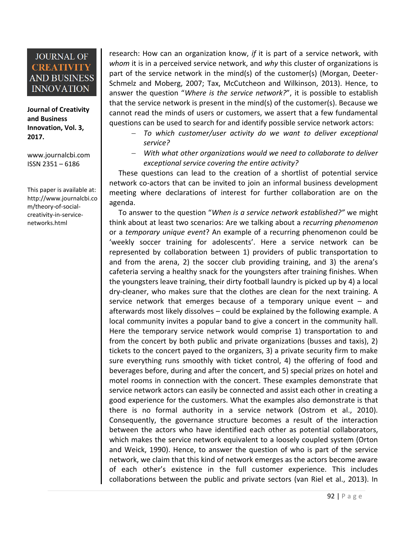**Journal of Creativity and Business Innovation, Vol. 3, 2017.**

[www.journalcbi.com](http://www.journalcbi.com/) ISSN 2351 – 6186

This paper is available at: [http://www.journalcbi.co](http://www.journalcbi.com/ideation-using-analogies.html) [m/theory-of-social](http://www.journalcbi.com/ideation-using-analogies.html)[creativity-in-service](http://www.journalcbi.com/ideation-using-analogies.html)[networks.html](http://www.journalcbi.com/ideation-using-analogies.html) 

research: How can an organization know, *if* it is part of a service network, with *whom* it is in a perceived service network, and *why* this cluster of organizations is part of the service network in the mind(s) of the customer(s) (Morgan, Deeter-Schmelz and Moberg, 2007; Tax, McCutcheon and Wilkinson, 2013). Hence, to answer the question "*Where is the service network?*", it is possible to establish that the service network is present in the mind(s) of the customer(s). Because we cannot read the minds of users or customers, we assert that a few fundamental questions can be used to search for and identify possible service network actors:

- *To which customer/user activity do we want to deliver exceptional service?*
- *With what other organizations would we need to collaborate to deliver exceptional service covering the entire activity?*

These questions can lead to the creation of a shortlist of potential service network co-actors that can be invited to join an informal business development meeting where declarations of interest for further collaboration are on the agenda.

 To answer to the question "*When is a service network established?"* we might think about at least two scenarios: Are we talking about a *recurring phenomenon* or a *temporary unique event*? An example of a recurring phenomenon could be 'weekly soccer training for adolescents'. Here a service network can be represented by collaboration between 1) providers of public transportation to and from the arena, 2) the soccer club providing training, and 3) the arena's cafeteria serving a healthy snack for the youngsters after training finishes. When the youngsters leave training, their dirty football laundry is picked up by 4) a local dry-cleaner, who makes sure that the clothes are clean for the next training. A service network that emerges because of a temporary unique event – and afterwards most likely dissolves – could be explained by the following example. A local community invites a popular band to give a concert in the community hall. Here the temporary service network would comprise 1) transportation to and from the concert by both public and private organizations (busses and taxis), 2) tickets to the concert payed to the organizers, 3) a private security firm to make sure everything runs smoothly with ticket control, 4) the offering of food and beverages before, during and after the concert, and 5) special prizes on hotel and motel rooms in connection with the concert. These examples demonstrate that service network actors can easily be connected and assist each other in creating a good experience for the customers. What the examples also demonstrate is that there is no formal authority in a service network (Ostrom et al., 2010). Consequently, the governance structure becomes a result of the interaction between the actors who have identified each other as potential collaborators, which makes the service network equivalent to a loosely coupled system (Orton and Weick, 1990). Hence, to answer the question of who is part of the service network, we claim that this kind of network emerges as the actors become aware of each other's existence in the full customer experience. This includes collaborations between the public and private sectors (van Riel et al., 2013). In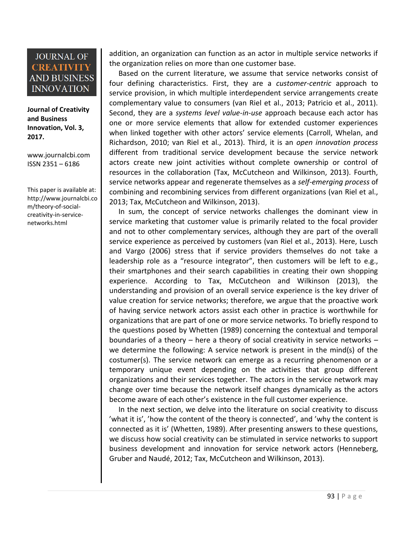**Journal of Creativity and Business Innovation, Vol. 3, 2017.**

[www.journalcbi.com](http://www.journalcbi.com/) ISSN 2351 – 6186

This paper is available at: [http://www.journalcbi.co](http://www.journalcbi.com/ideation-using-analogies.html) [m/theory-of-social](http://www.journalcbi.com/ideation-using-analogies.html)[creativity-in-service](http://www.journalcbi.com/ideation-using-analogies.html)[networks.html](http://www.journalcbi.com/ideation-using-analogies.html) 

addition, an organization can function as an actor in multiple service networks if the organization relies on more than one customer base.

 Based on the current literature, we assume that service networks consist of four defining characteristics. First, they are a *customer-centric* approach to service provision, in which multiple interdependent service arrangements create complementary value to consumers (van Riel et al., 2013; Patricio et al., 2011). Second, they are a *systems level value-in-use* approach because each actor has one or more service elements that allow for extended customer experiences when linked together with other actors' service elements (Carroll, Whelan, and Richardson, 2010; van Riel et al., 2013). Third, it is an *open innovation process* different from traditional service development because the service network actors create new joint activities without complete ownership or control of resources in the collaboration (Tax, McCutcheon and Wilkinson, 2013). Fourth, service networks appear and regenerate themselves as a *self-emerging process* of combining and recombining services from different organizations (van Riel et al., 2013; Tax, McCutcheon and Wilkinson, 2013).

 In sum, the concept of service networks challenges the dominant view in service marketing that customer value is primarily related to the focal provider and not to other complementary services, although they are part of the overall service experience as perceived by customers (van Riel et al., 2013). Here, Lusch and Vargo (2006) stress that if service providers themselves do not take a leadership role as a "resource integrator", then customers will be left to e.g., their smartphones and their search capabilities in creating their own shopping experience. According to Tax, McCutcheon and Wilkinson (2013), the understanding and provision of an overall service experience is the key driver of value creation for service networks; therefore, we argue that the proactive work of having service network actors assist each other in practice is worthwhile for organizations that are part of one or more service networks. To briefly respond to the questions posed by Whetten (1989) concerning the contextual and temporal boundaries of a theory – here a theory of social creativity in service networks – we determine the following: A service network is present in the mind(s) of the costumer(s). The service network can emerge as a recurring phenomenon or a temporary unique event depending on the activities that group different organizations and their services together. The actors in the service network may change over time because the network itself changes dynamically as the actors become aware of each other's existence in the full customer experience.

 In the next section, we delve into the literature on social creativity to discuss 'what it is', 'how the content of the theory is connected', and 'why the content is connected as it is' (Whetten, 1989). After presenting answers to these questions, we discuss how social creativity can be stimulated in service networks to support business development and innovation for service network actors (Henneberg, Gruber and Naudé, 2012; Tax, McCutcheon and Wilkinson, 2013).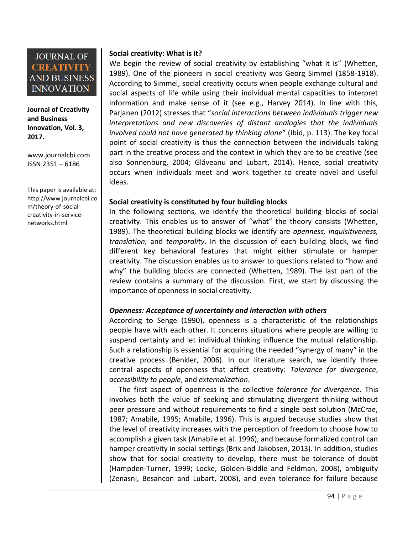

**Journal of Creativity and Business Innovation, Vol. 3, 2017.**

[www.journalcbi.com](http://www.journalcbi.com/) ISSN 2351 – 6186

This paper is available at: [http://www.journalcbi.co](http://www.journalcbi.com/ideation-using-analogies.html) [m/theory-of-social](http://www.journalcbi.com/ideation-using-analogies.html)[creativity-in-service](http://www.journalcbi.com/ideation-using-analogies.html)[networks.html](http://www.journalcbi.com/ideation-using-analogies.html) 

## **Social creativity: What is it?**

We begin the review of social creativity by establishing "what it is" (Whetten, 1989). One of the pioneers in social creativity was Georg Simmel (1858-1918). According to Simmel, social creativity occurs when people exchange cultural and social aspects of life while using their individual mental capacities to interpret information and make sense of it (see e.g., Harvey 2014). In line with this, Parjanen (2012) stresses that "*social interactions between individuals trigger new interpretations and new discoveries of distant analogies that the individuals involved could not have generated by thinking alone*" (Ibid, p. 113). The key focal point of social creativity is thus the connection between the individuals taking part in the creative process and the context in which they are to be creative (see also Sonnenburg, 2004; Glăveanu and Lubart, 2014). Hence, social creativity occurs when individuals meet and work together to create novel and useful ideas.

#### **Social creativity is constituted by four building blocks**

In the following sections, we identify the theoretical building blocks of social creativity. This enables us to answer of "what" the theory consists (Whetten, 1989). The theoretical building blocks we identify are *openness, inquisitiveness, translation,* and *temporality*. In the discussion of each building block, we find different key behavioral features that might either stimulate or hamper creativity. The discussion enables us to answer to questions related to "how and why" the building blocks are connected (Whetten, 1989). The last part of the review contains a summary of the discussion. First, we start by discussing the importance of openness in social creativity.

#### *Openness: Acceptance of uncertainty and interaction with others*

According to Senge (1990), openness is a characteristic of the relationships people have with each other. It concerns situations where people are willing to suspend certainty and let individual thinking influence the mutual relationship. Such a relationship is essential for acquiring the needed "synergy of many" in the creative process (Benkler, 2006). In our literature search, we identify three central aspects of openness that affect creativity: *Tolerance for divergence*, *accessibility to people*, and *externalization*.

 The first aspect of openness is the collective *tolerance for divergence*. This involves both the value of seeking and stimulating divergent thinking without peer pressure and without requirements to find a single best solution (McCrae, 1987; Amabile, 1995; Amabile, 1996). This is argued because studies show that the level of creativity increases with the perception of freedom to choose how to accomplish a given task (Amabile et al. 1996), and because formalized control can hamper creativity in social settings (Brix and Jakobsen, 2013). In addition, studies show that for social creativity to develop, there must be tolerance of doubt (Hampden-Turner, 1999; Locke, Golden-Biddle and Feldman, 2008), ambiguity (Zenasni, Besancon and Lubart, 2008), and even tolerance for failure because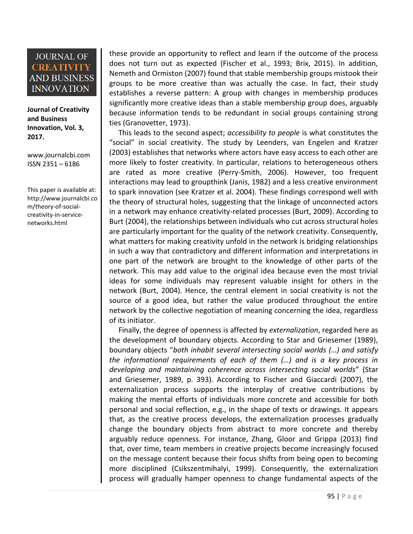**Journal of Creativity and Business Innovation, Vol. 3, 2017.**

[www.journalcbi.com](http://www.journalcbi.com/) ISSN 2351 – 6186

This paper is available at: [http://www.journalcbi.co](http://www.journalcbi.com/ideation-using-analogies.html) [m/theory-of-social](http://www.journalcbi.com/ideation-using-analogies.html)[creativity-in-service](http://www.journalcbi.com/ideation-using-analogies.html)[networks.html](http://www.journalcbi.com/ideation-using-analogies.html) 

these provide an opportunity to reflect and learn if the outcome of the process does not turn out as expected (Fischer et al., 1993; Brix, 2015). In addition, Nemeth and Ormiston (2007) found that stable membership groups mistook their groups to be more creative than was actually the case. In fact, their study establishes a reverse pattern: A group with changes in membership produces significantly more creative ideas than a stable membership group does, arguably because information tends to be redundant in social groups containing strong ties (Granovetter, 1973).

 This leads to the second aspect; *accessibility to people* is what constitutes the "social" in social creativity. The study by Leenders, van Engelen and Kratzer (2003) establishes that networks where actors have easy access to each other are more likely to foster creativity. In particular, relations to heterogeneous others are rated as more creative (Perry-Smith, 2006). However, too frequent interactions may lead to groupthink (Janis, 1982) and a less creative environment to spark innovation (see Kratzer et al. 2004). These findings correspond well with the theory of structural holes, suggesting that the linkage of unconnected actors in a network may enhance creativity-related processes (Burt, 2009). According to Burt (2004), the relationships between individuals who cut across structural holes are particularly important for the quality of the network creativity. Consequently, what matters for making creativity unfold in the network is bridging relationships in such a way that contradictory and different information and interpretations in one part of the network are brought to the knowledge of other parts of the network. This may add value to the original idea because even the most trivial ideas for some individuals may represent valuable insight for others in the network (Burt, 2004). Hence, the central element in social creativity is not the source of a good idea, but rather the value produced throughout the entire network by the collective negotiation of meaning concerning the idea, regardless of its initiator.

 Finally, the degree of openness is affected by *externalization*, regarded here as the development of boundary objects. According to Star and Griesemer (1989), boundary objects "*both inhabit several intersecting social worlds (…) and satisfy the informational requirements of each of them (…) and is a key process in developing and maintaining coherence across intersecting social worlds*" (Star and Griesemer, 1989, p. 393). According to Fischer and Giaccardi (2007), the externalization process supports the interplay of creative contributions by making the mental efforts of individuals more concrete and accessible for both personal and social reflection, e.g., in the shape of texts or drawings. It appears that, as the creative process develops, the externalization processes gradually change the boundary objects from abstract to more concrete and thereby arguably reduce openness. For instance, Zhang, Gloor and Grippa (2013) find that, over time, team members in creative projects become increasingly focused on the message content because their focus shifts from being open to becoming more disciplined (Csikszentmihalyi, 1999). Consequently, the externalization process will gradually hamper openness to change fundamental aspects of the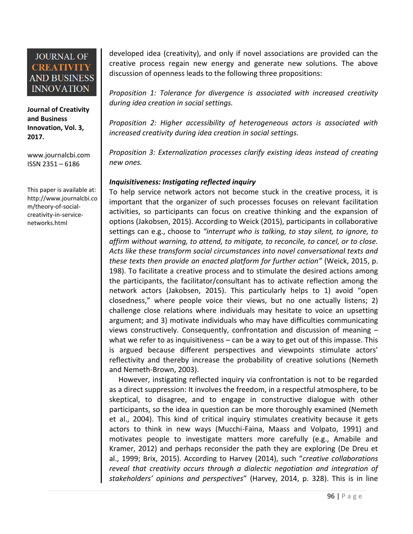**Journal of Creativity and Business Innovation, Vol. 3, 2017.**

[www.journalcbi.com](http://www.journalcbi.com/) ISSN 2351 – 6186

This paper is available at: [http://www.journalcbi.co](http://www.journalcbi.com/ideation-using-analogies.html) [m/theory-of-social](http://www.journalcbi.com/ideation-using-analogies.html)[creativity-in-service](http://www.journalcbi.com/ideation-using-analogies.html)[networks.html](http://www.journalcbi.com/ideation-using-analogies.html) 

developed idea (creativity), and only if novel associations are provided can the creative process regain new energy and generate new solutions. The above discussion of openness leads to the following three propositions:

*Proposition 1: Tolerance for divergence is associated with increased creativity during idea creation in social settings.* 

*Proposition 2: Higher accessibility of heterogeneous actors is associated with increased creativity during idea creation in social settings.*

*Proposition 3: Externalization processes clarify existing ideas instead of creating new ones.*

## *Inquisitiveness: Instigating reflected inquiry*

To help service network actors not become stuck in the creative process, it is important that the organizer of such processes focuses on relevant facilitation activities, so participants can focus on creative thinking and the expansion of options (Jakobsen, 2015). According to Weick (2015), participants in collaborative settings can e.g., choose to *"interrupt who is talking, to stay silent, to ignore, to affirm without warning, to attend, to mitigate, to reconcile, to cancel, or to close. Acts like these transform social circumstances into novel conversational texts and these texts then provide an enacted platform for further action"* (Weick, 2015, p. 198). To facilitate a creative process and to stimulate the desired actions among the participants, the facilitator/consultant has to activate reflection among the network actors (Jakobsen, 2015). This particularly helps to 1) avoid "open closedness," where people voice their views, but no one actually listens; 2) challenge close relations where individuals may hesitate to voice an upsetting argument; and 3) motivate individuals who may have difficulties communicating views constructively. Consequently, confrontation and discussion of meaning – what we refer to as inquisitiveness – can be a way to get out of this impasse. This is argued because different perspectives and viewpoints stimulate actors' reflectivity and thereby increase the probability of creative solutions (Nemeth and Nemeth-Brown, 2003).

 However, instigating reflected inquiry via confrontation is not to be regarded as a direct suppression: It involves the freedom, in a respectful atmosphere, to be skeptical, to disagree, and to engage in constructive dialogue with other participants, so the idea in question can be more thoroughly examined (Nemeth et al., 2004). This kind of critical inquiry stimulates creativity because it gets actors to think in new ways (Mucchi-Faina, Maass and Volpato, 1991) and motivates people to investigate matters more carefully (e.g., Amabile and Kramer, 2012) and perhaps reconsider the path they are exploring (De Dreu et al., 1999; Brix, 2015). According to Harvey (2014), such "*creative collaborations reveal that creativity occurs through a dialectic negotiation and integration of stakeholders' opinions and perspectives*" (Harvey, 2014, p. 328). This is in line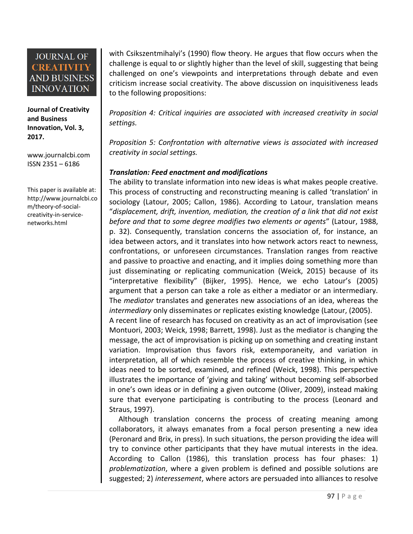**Journal of Creativity and Business Innovation, Vol. 3, 2017.**

[www.journalcbi.com](http://www.journalcbi.com/) ISSN 2351 – 6186

This paper is available at: [http://www.journalcbi.co](http://www.journalcbi.com/ideation-using-analogies.html) [m/theory-of-social](http://www.journalcbi.com/ideation-using-analogies.html)[creativity-in-service](http://www.journalcbi.com/ideation-using-analogies.html)[networks.html](http://www.journalcbi.com/ideation-using-analogies.html) 

with Csikszentmihalyi's (1990) flow theory. He argues that flow occurs when the challenge is equal to or slightly higher than the level of skill, suggesting that being challenged on one's viewpoints and interpretations through debate and even criticism increase social creativity. The above discussion on inquisitiveness leads to the following propositions:

*Proposition 4: Critical inquiries are associated with increased creativity in social settings.*

*Proposition 5: Confrontation with alternative views is associated with increased creativity in social settings.*

## *Translation: Feed enactment and modifications*

The ability to translate information into new ideas is what makes people creative. This process of constructing and reconstructing meaning is called 'translation' in sociology (Latour, 2005; Callon, 1986). According to Latour, translation means "*displacement, drift, invention, mediation, the creation of a link that did not exist before and that to some degree modifies two elements or agents*" (Latour, 1988, p. 32). Consequently, translation concerns the association of, for instance, an idea between actors, and it translates into how network actors react to newness, confrontations, or unforeseen circumstances. Translation ranges from reactive and passive to proactive and enacting, and it implies doing something more than just disseminating or replicating communication (Weick, 2015) because of its "interpretative flexibility" (Bijker, 1995). Hence, we echo Latour's (2005) argument that a person can take a role as either a mediator or an intermediary. The *mediator* translates and generates new associations of an idea, whereas the *intermediary* only disseminates or replicates existing knowledge (Latour, (2005).

A recent line of research has focused on creativity as an act of improvisation (see Montuori, 2003; Weick, 1998; Barrett, 1998). Just as the mediator is changing the message, the act of improvisation is picking up on something and creating instant variation. Improvisation thus favors risk, extemporaneity, and variation in interpretation, all of which resemble the process of creative thinking, in which ideas need to be sorted, examined, and refined (Weick, 1998). This perspective illustrates the importance of 'giving and taking' without becoming self-absorbed in one's own ideas or in defining a given outcome (Oliver, 2009), instead making sure that everyone participating is contributing to the process (Leonard and Straus, 1997).

 Although translation concerns the process of creating meaning among collaborators, it always emanates from a focal person presenting a new idea (Peronard and Brix, in press). In such situations, the person providing the idea will try to convince other participants that they have mutual interests in the idea. According to Callon (1986), this translation process has four phases: 1) *problematization*, where a given problem is defined and possible solutions are suggested; 2) *interessement*, where actors are persuaded into alliances to resolve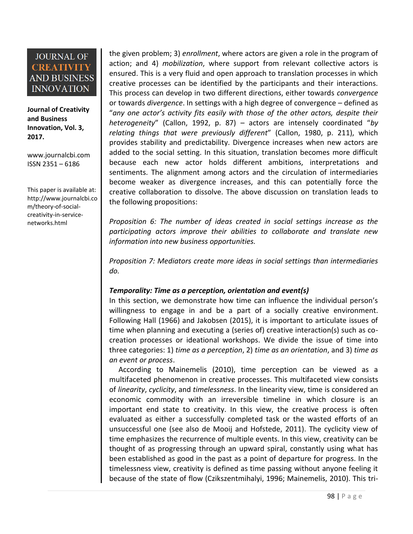**Journal of Creativity and Business Innovation, Vol. 3, 2017.**

[www.journalcbi.com](http://www.journalcbi.com/) ISSN 2351 – 6186

This paper is available at: [http://www.journalcbi.co](http://www.journalcbi.com/ideation-using-analogies.html) [m/theory-of-social](http://www.journalcbi.com/ideation-using-analogies.html)[creativity-in-service](http://www.journalcbi.com/ideation-using-analogies.html)[networks.html](http://www.journalcbi.com/ideation-using-analogies.html) 

the given problem; 3) *enrollment*, where actors are given a role in the program of action; and 4) *mobilization*, where support from relevant collective actors is ensured. This is a very fluid and open approach to translation processes in which creative processes can be identified by the participants and their interactions. This process can develop in two different directions, either towards *convergence* or towards *divergence*. In settings with a high degree of convergence – defined as "*any one actor's activity fits easily with those of the other actors, despite their heterogeneity*" (Callon, 1992, p. 87) – actors are intensely coordinated "*by relating things that were previously different*" (Callon, 1980, p. 211), which provides stability and predictability. Divergence increases when new actors are added to the social setting. In this situation, translation becomes more difficult because each new actor holds different ambitions, interpretations and sentiments. The alignment among actors and the circulation of intermediaries become weaker as divergence increases, and this can potentially force the creative collaboration to dissolve. The above discussion on translation leads to the following propositions:

*Proposition 6: The number of ideas created in social settings increase as the participating actors improve their abilities to collaborate and translate new information into new business opportunities.*

*Proposition 7: Mediators create more ideas in social settings than intermediaries do.* 

## *Temporality: Time as a perception, orientation and event(s)*

In this section, we demonstrate how time can influence the individual person's willingness to engage in and be a part of a socially creative environment. Following Hall (1966) and Jakobsen (2015), it is important to articulate issues of time when planning and executing a (series of) creative interaction(s) such as cocreation processes or ideational workshops. We divide the issue of time into three categories: 1) *time as a perception*, 2) *time as an orientation*, and 3) *time as an event or process*.

 According to Mainemelis (2010), time perception can be viewed as a multifaceted phenomenon in creative processes. This multifaceted view consists of *linearity*, *cyclicity*, and *timelessness*. In the linearity view, time is considered an economic commodity with an irreversible timeline in which closure is an important end state to creativity. In this view, the creative process is often evaluated as either a successfully completed task or the wasted efforts of an unsuccessful one (see also de Mooij and Hofstede, 2011). The cyclicity view of time emphasizes the recurrence of multiple events. In this view, creativity can be thought of as progressing through an upward spiral, constantly using what has been established as good in the past as a point of departure for progress. In the timelessness view, creativity is defined as time passing without anyone feeling it because of the state of flow (Czikszentmihalyi, 1996; Mainemelis, 2010). This tri-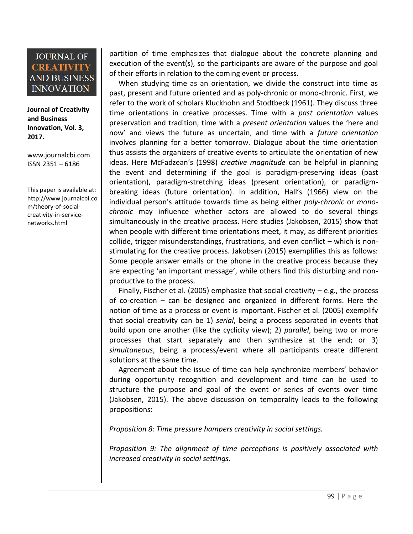**Journal of Creativity and Business Innovation, Vol. 3, 2017.**

[www.journalcbi.com](http://www.journalcbi.com/) ISSN 2351 – 6186

This paper is available at: [http://www.journalcbi.co](http://www.journalcbi.com/ideation-using-analogies.html) [m/theory-of-social](http://www.journalcbi.com/ideation-using-analogies.html)[creativity-in-service](http://www.journalcbi.com/ideation-using-analogies.html)[networks.html](http://www.journalcbi.com/ideation-using-analogies.html) 

partition of time emphasizes that dialogue about the concrete planning and execution of the event(s), so the participants are aware of the purpose and goal of their efforts in relation to the coming event or process.

 When studying time as an orientation, we divide the construct into time as past, present and future oriented and as poly-chronic or mono-chronic. First, we refer to the work of scholars Kluckhohn and Stodtbeck (1961). They discuss three time orientations in creative processes. Time with a *past orientation* values preservation and tradition, time with a *present orientation* values the 'here and now' and views the future as uncertain, and time with a *future orientation* involves planning for a better tomorrow. Dialogue about the time orientation thus assists the organizers of creative events to articulate the orientation of new ideas. Here McFadzean's (1998) *creative magnitude* can be helpful in planning the event and determining if the goal is paradigm-preserving ideas (past orientation), paradigm-stretching ideas (present orientation), or paradigmbreaking ideas (future orientation). In addition, Hall's (1966) view on the individual person's attitude towards time as being either *poly-chronic* or *monochronic* may influence whether actors are allowed to do several things simultaneously in the creative process. Here studies (Jakobsen, 2015) show that when people with different time orientations meet, it may, as different priorities collide, trigger misunderstandings, frustrations, and even conflict – which is nonstimulating for the creative process. Jakobsen (2015) exemplifies this as follows: Some people answer emails or the phone in the creative process because they are expecting 'an important message', while others find this disturbing and nonproductive to the process.

Finally, Fischer et al. (2005) emphasize that social creativity  $-e.g.,$  the process of co-creation – can be designed and organized in different forms. Here the notion of time as a process or event is important. Fischer et al. (2005) exemplify that social creativity can be 1) *serial*, being a process separated in events that build upon one another (like the cyclicity view); 2) *parallel*, being two or more processes that start separately and then synthesize at the end; or 3) *simultaneous*, being a process/event where all participants create different solutions at the same time.

 Agreement about the issue of time can help synchronize members' behavior during opportunity recognition and development and time can be used to structure the purpose and goal of the event or series of events over time (Jakobsen, 2015). The above discussion on temporality leads to the following propositions:

*Proposition 8: Time pressure hampers creativity in social settings.* 

*Proposition 9: The alignment of time perceptions is positively associated with increased creativity in social settings.*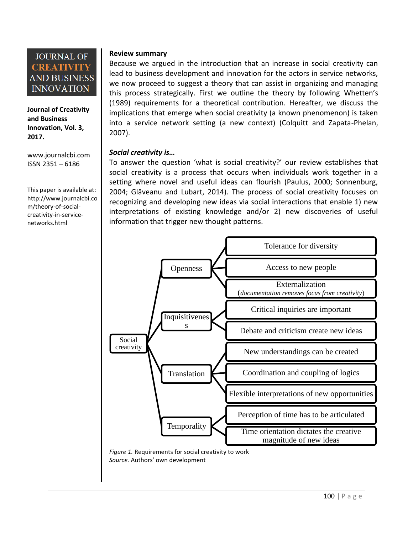

**Journal of Creativity and Business Innovation, Vol. 3, 2017.**

[www.journalcbi.com](http://www.journalcbi.com/) ISSN 2351 – 6186

This paper is available at: [http://www.journalcbi.co](http://www.journalcbi.com/ideation-using-analogies.html) [m/theory-of-social](http://www.journalcbi.com/ideation-using-analogies.html)[creativity-in-service](http://www.journalcbi.com/ideation-using-analogies.html)[networks.html](http://www.journalcbi.com/ideation-using-analogies.html) 

#### **Review summary**

Because we argued in the introduction that an increase in social creativity can lead to business development and innovation for the actors in service networks, we now proceed to suggest a theory that can assist in organizing and managing this process strategically. First we outline the theory by following Whetten's (1989) requirements for a theoretical contribution. Hereafter, we discuss the implications that emerge when social creativity (a known phenomenon) is taken into a service network setting (a new context) (Colquitt and Zapata-Phelan, 2007).

#### *Social creativity is…*

To answer the question 'what is social creativity?' our review establishes that social creativity is a process that occurs when individuals work together in a setting where novel and useful ideas can flourish (Paulus, 2000; Sonnenburg, 2004; Glăveanu and Lubart, 2014). The process of social creativity focuses on recognizing and developing new ideas via social interactions that enable 1) new interpretations of existing knowledge and/or 2) new discoveries of useful information that trigger new thought patterns.



*Figure 1.* Requirements for social creativity to work *Source.* Authors' own development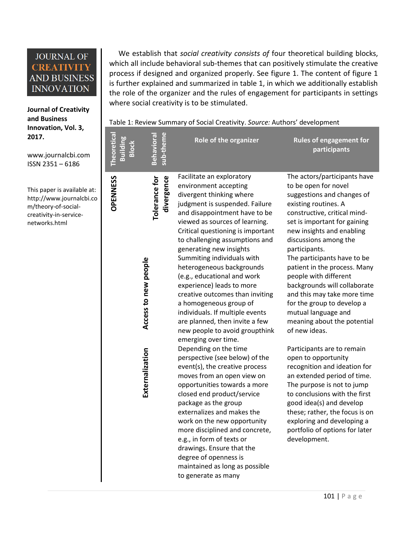**Journal of Creativity and Business Innovation, Vol. 3, 2017.**

[www.journalcbi.com](http://www.journalcbi.com/) ISSN 2351 – 6186

This paper is available at: [http://www.journalcbi.co](http://www.journalcbi.com/ideation-using-analogies.html) [m/theory-of-social](http://www.journalcbi.com/ideation-using-analogies.html)[creativity-in-service](http://www.journalcbi.com/ideation-using-analogies.html)[networks.html](http://www.journalcbi.com/ideation-using-analogies.html) 

 We establish that *social creativity consists of* four theoretical building blocks, which all include behavioral sub-themes that can positively stimulate the creative process if designed and organized properly. See figure 1. The content of figure 1 is further explained and summarized in table 1, in which we additionally establish the role of the organizer and the rules of engagement for participants in settings where social creativity is to be stimulated.

Table 1: Review Summary of Social Creativity. *Source:* Authors' development

| <b>Theoretica</b>                                          | sub-theme<br>Behaviora      | Role of the organizer                                                                                                                                                                                                                                                                                                                                                                                                                                                                                                                                                                                                                                                                                                                                                                                                                                                                                                                                                                                                                                               | <b>Rules of engagement for</b><br>participants                                                                                                                                                                                                                                                                                                                                                                                                                                                                                                                                                                                                                                                                                                                                                                                                 |
|------------------------------------------------------------|-----------------------------|---------------------------------------------------------------------------------------------------------------------------------------------------------------------------------------------------------------------------------------------------------------------------------------------------------------------------------------------------------------------------------------------------------------------------------------------------------------------------------------------------------------------------------------------------------------------------------------------------------------------------------------------------------------------------------------------------------------------------------------------------------------------------------------------------------------------------------------------------------------------------------------------------------------------------------------------------------------------------------------------------------------------------------------------------------------------|------------------------------------------------------------------------------------------------------------------------------------------------------------------------------------------------------------------------------------------------------------------------------------------------------------------------------------------------------------------------------------------------------------------------------------------------------------------------------------------------------------------------------------------------------------------------------------------------------------------------------------------------------------------------------------------------------------------------------------------------------------------------------------------------------------------------------------------------|
| <b>OPENNESS</b><br>Access to new people<br>Externalization | divergence<br>Tolerance for | Facilitate an exploratory<br>environment accepting<br>divergent thinking where<br>judgment is suspended. Failure<br>and disappointment have to be<br>viewed as sources of learning.<br>Critical questioning is important<br>to challenging assumptions and<br>generating new insights<br>Summiting individuals with<br>heterogeneous backgrounds<br>(e.g., educational and work<br>experience) leads to more<br>creative outcomes than inviting<br>a homogeneous group of<br>individuals. If multiple events<br>are planned, then invite a few<br>new people to avoid groupthink<br>emerging over time.<br>Depending on the time<br>perspective (see below) of the<br>event(s), the creative process<br>moves from an open view on<br>opportunities towards a more<br>closed end product/service<br>package as the group<br>externalizes and makes the<br>work on the new opportunity<br>more disciplined and concrete,<br>e.g., in form of texts or<br>drawings. Ensure that the<br>degree of openness is<br>maintained as long as possible<br>to generate as many | The actors/participants have<br>to be open for novel<br>suggestions and changes of<br>existing routines. A<br>constructive, critical mind-<br>set is important for gaining<br>new insights and enabling<br>discussions among the<br>participants.<br>The participants have to be<br>patient in the process. Many<br>people with different<br>backgrounds will collaborate<br>and this may take more time<br>for the group to develop a<br>mutual language and<br>meaning about the potential<br>of new ideas.<br>Participants are to remain<br>open to opportunity<br>recognition and ideation for<br>an extended period of time.<br>The purpose is not to jump<br>to conclusions with the first<br>good idea(s) and develop<br>these; rather, the focus is on<br>exploring and developing a<br>portfolio of options for later<br>development. |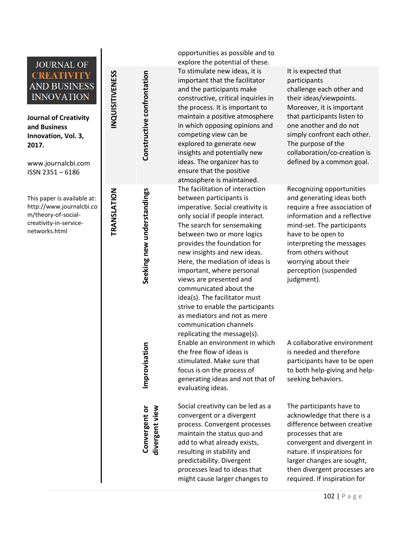# **JOURNAL OF** NQUISITIVENESS **INQUISITIVENESS CREATIVITY AND BUSINESS INNOVATION Journal of Creativity and Business Innovation, Vol. 3, 2017.** [www.journalcbi.com](http://www.journalcbi.com/) ISSN 2351 – 6186 **TRANSLATION** This paper is available at: [http://www.journalcbi.co](http://www.journalcbi.com/ideation-using-analogies.html) [m/theory](http://www.journalcbi.com/ideation-using-analogies.html) -of -social [creativity](http://www.journalcbi.com/ideation-using-analogies.html) -in -service [networks.html](http://www.journalcbi.com/ideation-using-analogies.html)

**Constructive confrontation**

Constructive confrontation

**Seeking new understandings**

Seeking new understandings

**Improvisation**

**Convergent or divergent view**

Convergent or

opportunities as possible and to explore the potential of these. To stimulate new ideas , it is important that the facilitator and the participants make constructive, critical inquiries in the process. It is important to maintain a positive atmosphere in which opposing opinions and competing view can be explored to generate new insights and potentially new ideas. The organizer has to ensure that the positive atmosphere is maintained. The facilitation of interaction between participants is imperative. Social creativity is only social if people interact. The search for sensemaking between two or more logics provides the foundation for new insights and new ideas. Here, the mediation of ideas is important, where personal views are presented and communicated about the idea(s). The facilitator must strive to enable the participants as mediators and not as mere communication channels replicating the message(s). Enable an environment in which the free flow of ideas is stimulated. Make sure that focus is on the process of generating ideas and not that of evaluating ideas. Social creativity can be led as a

convergent or a divergent process. Convergent processes maintain the status quo and add to what already exists , resulting in stability and predictability. Divergent processes lead to ideas that might cause larger changes to

It is expected that participants challenge each other and their ideas/viewpoints. Moreover, it is important that participants listen to one another and do not simply confront each other. The purpose of the collaboration/co -creation is defined by a common goal.

Recognizing opportunities and generating ideas both require a free association of information and a reflective mind -set. The participants have to be open to interpreting the messages from other s without worrying about their perception (suspended judgment).

A collaborative environment is needed and therefore participants have to be open to both help -giving and help seeking behaviors.

The participants have to acknowledge that there is a difference between creative processes that are convergent and divergent in nature. If inspirations for larger changes are sought , then divergent processes are required. If inspiration for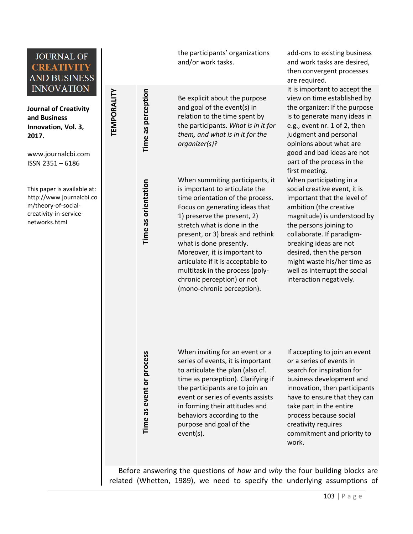

**Journal of Creativity and Business Innovation, Vol. 3, 2017.**

**TEMPORALITY**

TEMPORALITY

**Time as perception**

Time as perception

**Time as orientation**

Time as orientation

[www.journalcbi.com](http://www.journalcbi.com/) ISSN 2351 – 6186

This paper is available at: [http://www.journalcbi.co](http://www.journalcbi.com/ideation-using-analogies.html) [m/theory-of-social](http://www.journalcbi.com/ideation-using-analogies.html)[creativity-in-service](http://www.journalcbi.com/ideation-using-analogies.html)[networks.html](http://www.journalcbi.com/ideation-using-analogies.html) 

the participants' organizations and/or work tasks.

Be explicit about the purpose and goal of the event(s) in relation to the time spent by the participants. *What is in it for them, and what is in it for the organizer(s)?*

When summiting participants, it is important to articulate the time orientation of the process. Focus on generating ideas that 1) preserve the present, 2) stretch what is done in the present, or 3) break and rethink what is done presently. Moreover, it is important to articulate if it is acceptable to multitask in the process (polychronic perception) or not (mono-chronic perception).

add-ons to existing business and work tasks are desired, then convergent processes are required.

It is important to accept the view on time established by the organizer: If the purpose is to generate many ideas in e.g., event nr. 1 of 2, then judgment and personal opinions about what are good and bad ideas are not part of the process in the first meeting. When participating in a social creative event, it is important that the level of ambition (the creative magnitude) is understood by the persons joining to collaborate. If paradigmbreaking ideas are not desired, then the person

might waste his/her time as well as interrupt the social interaction negatively.

Time as event or process **Time as event or process** When inviting for an event or a series of events, it is important to articulate the plan (also cf. time as perception). Clarifying if the participants are to join an event or series of events assists in forming their attitudes and behaviors according to the purpose and goal of the event(s).

If accepting to join an event or a series of events in search for inspiration for business development and innovation, then participants have to ensure that they can take part in the entire process because social creativity requires commitment and priority to work.

Before answering the questions of *how* and *why* the four building blocks are related (Whetten, 1989), we need to specify the underlying assumptions of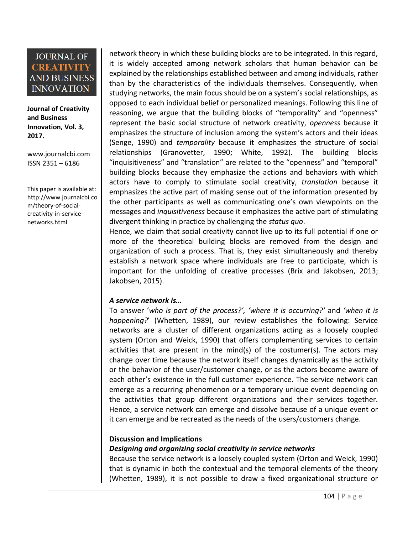**Journal of Creativity and Business Innovation, Vol. 3, 2017.**

[www.journalcbi.com](http://www.journalcbi.com/) ISSN 2351 – 6186

This paper is available at: [http://www.journalcbi.co](http://www.journalcbi.com/ideation-using-analogies.html) [m/theory-of-social](http://www.journalcbi.com/ideation-using-analogies.html)[creativity-in-service](http://www.journalcbi.com/ideation-using-analogies.html)[networks.html](http://www.journalcbi.com/ideation-using-analogies.html) 

network theory in which these building blocks are to be integrated. In this regard, it is widely accepted among network scholars that human behavior can be explained by the relationships established between and among individuals, rather than by the characteristics of the individuals themselves. Consequently, when studying networks, the main focus should be on a system's social relationships, as opposed to each individual belief or personalized meanings. Following this line of reasoning, we argue that the building blocks of "temporality" and "openness" represent the basic social structure of network creativity, *openness* because it emphasizes the structure of inclusion among the system's actors and their ideas (Senge, 1990) and *temporality* because it emphasizes the structure of social relationships (Granovetter, 1990; White, 1992). The building blocks "inquisitiveness" and "translation" are related to the "openness" and "temporal" building blocks because they emphasize the actions and behaviors with which actors have to comply to stimulate social creativity, *translation* because it emphasizes the active part of making sense out of the information presented by the other participants as well as communicating one's own viewpoints on the messages and *inquisitiveness* because it emphasizes the active part of stimulating divergent thinking in practice by challenging the *status quo*.

Hence, we claim that social creativity cannot live up to its full potential if one or more of the theoretical building blocks are removed from the design and organization of such a process. That is, they exist simultaneously and thereby establish a network space where individuals are free to participate, which is important for the unfolding of creative processes (Brix and Jakobsen, 2013; Jakobsen, 2015).

#### *A service network is…*

To answer '*who is part of the process?', 'where it is occurring?'* and *'when it is happening?*' (Whetten, 1989), our review establishes the following: Service networks are a cluster of different organizations acting as a loosely coupled system (Orton and Weick, 1990) that offers complementing services to certain activities that are present in the mind(s) of the costumer(s). The actors may change over time because the network itself changes dynamically as the activity or the behavior of the user/customer change, or as the actors become aware of each other's existence in the full customer experience. The service network can emerge as a recurring phenomenon or a temporary unique event depending on the activities that group different organizations and their services together. Hence, a service network can emerge and dissolve because of a unique event or it can emerge and be recreated as the needs of the users/customers change.

#### **Discussion and Implications**

#### *Designing and organizing social creativity in service networks*

Because the service network is a loosely coupled system (Orton and Weick, 1990) that is dynamic in both the contextual and the temporal elements of the theory (Whetten, 1989), it is not possible to draw a fixed organizational structure or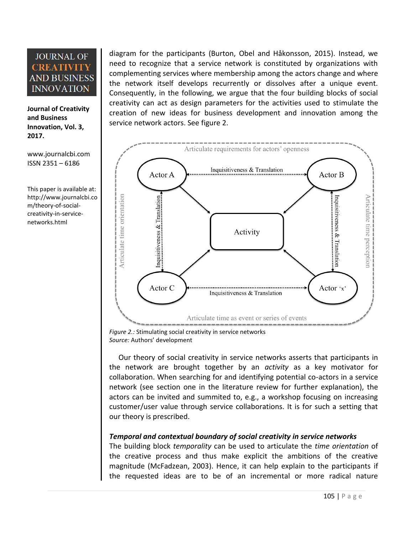**Journal of Creativity and Business Innovation, Vol. 3, 2017.**

[www.journalcbi.com](http://www.journalcbi.com/) ISSN 2351 – 6186

This paper is available at: [http://www.journalcbi.co](http://www.journalcbi.com/ideation-using-analogies.html) [m/theory-of-social](http://www.journalcbi.com/ideation-using-analogies.html)[creativity-in-service](http://www.journalcbi.com/ideation-using-analogies.html)[networks.html](http://www.journalcbi.com/ideation-using-analogies.html) 

diagram for the participants (Burton, Obel and Håkonsson, 2015). Instead, we need to recognize that a service network is constituted by organizations with complementing services where membership among the actors change and where the network itself develops recurrently or dissolves after a unique event. Consequently, in the following, we argue that the four building blocks of social creativity can act as design parameters for the activities used to stimulate the creation of new ideas for business development and innovation among the service network actors. See figure 2.



*Figure 2.:* Stimulating social creativity in service networks *Source:* Authors' development

Our theory of social creativity in service networks asserts that participants in the network are brought together by an *activity* as a key motivator for collaboration. When searching for and identifying potential co-actors in a service network (see section one in the literature review for further explanation), the actors can be invited and summited to, e.g., a workshop focusing on increasing customer/user value through service collaborations. It is for such a setting that our theory is prescribed.

## *Temporal and contextual boundary of social creativity in service networks*

The building block *temporality* can be used to articulate the *time orientation* of the creative process and thus make explicit the ambitions of the creative magnitude (McFadzean, 2003). Hence, it can help explain to the participants if the requested ideas are to be of an incremental or more radical nature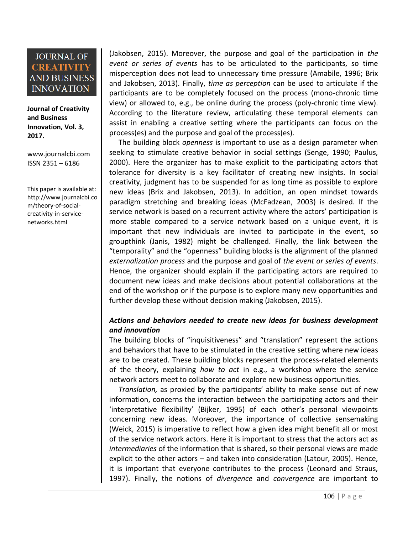**Journal of Creativity and Business Innovation, Vol. 3, 2017.**

[www.journalcbi.com](http://www.journalcbi.com/) ISSN 2351 – 6186

This paper is available at: [http://www.journalcbi.co](http://www.journalcbi.com/ideation-using-analogies.html) [m/theory-of-social](http://www.journalcbi.com/ideation-using-analogies.html)[creativity-in-service](http://www.journalcbi.com/ideation-using-analogies.html)[networks.html](http://www.journalcbi.com/ideation-using-analogies.html) 

(Jakobsen, 2015). Moreover, the purpose and goal of the participation in *the event or series of events* has to be articulated to the participants, so time misperception does not lead to unnecessary time pressure (Amabile, 1996; Brix and Jakobsen, 2013). Finally, *time as perception* can be used to articulate if the participants are to be completely focused on the process (mono-chronic time view) or allowed to, e.g., be online during the process (poly-chronic time view). According to the literature review, articulating these temporal elements can assist in enabling a creative setting where the participants can focus on the process(es) and the purpose and goal of the process(es).

The building block *openness* is important to use as a design parameter when seeking to stimulate creative behavior in social settings (Senge, 1990; Paulus, 2000). Here the organizer has to make explicit to the participating actors that tolerance for diversity is a key facilitator of creating new insights. In social creativity, judgment has to be suspended for as long time as possible to explore new ideas (Brix and Jakobsen, 2013). In addition, an open mindset towards paradigm stretching and breaking ideas (McFadzean, 2003) is desired. If the service network is based on a recurrent activity where the actors' participation is more stable compared to a service network based on a unique event, it is important that new individuals are invited to participate in the event, so groupthink (Janis, 1982) might be challenged. Finally, the link between the "temporality" and the "openness" building blocks is the alignment of the planned *externalization process* and the purpose and goal of *the event or series of events*. Hence, the organizer should explain if the participating actors are required to document new ideas and make decisions about potential collaborations at the end of the workshop or if the purpose is to explore many new opportunities and further develop these without decision making (Jakobsen, 2015).

## *Actions and behaviors needed to create new ideas for business development and innovation*

The building blocks of "inquisitiveness" and "translation" represent the actions and behaviors that have to be stimulated in the creative setting where new ideas are to be created. These building blocks represent the process-related elements of the theory, explaining *how to act* in e.g., a workshop where the service network actors meet to collaborate and explore new business opportunities.

*Translation,* as proxied by the participants' ability to make sense out of new information, concerns the interaction between the participating actors and their 'interpretative flexibility' (Bijker, 1995) of each other's personal viewpoints concerning new ideas. Moreover, the importance of collective sensemaking (Weick, 2015) is imperative to reflect how a given idea might benefit all or most of the service network actors. Here it is important to stress that the actors act as *intermediaries* of the information that is shared, so their personal views are made explicit to the other actors – and taken into consideration (Latour, 2005). Hence, it is important that everyone contributes to the process (Leonard and Straus, 1997). Finally, the notions of *divergence* and *convergence* are important to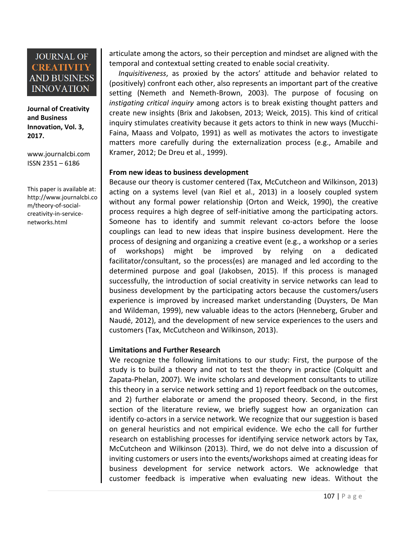**Journal of Creativity and Business Innovation, Vol. 3, 2017.**

[www.journalcbi.com](http://www.journalcbi.com/) ISSN 2351 – 6186

This paper is available at: [http://www.journalcbi.co](http://www.journalcbi.com/ideation-using-analogies.html) [m/theory-of-social](http://www.journalcbi.com/ideation-using-analogies.html)[creativity-in-service](http://www.journalcbi.com/ideation-using-analogies.html)[networks.html](http://www.journalcbi.com/ideation-using-analogies.html) 

articulate among the actors, so their perception and mindset are aligned with the temporal and contextual setting created to enable social creativity.

*Inquisitiveness*, as proxied by the actors' attitude and behavior related to (positively) confront each other, also represents an important part of the creative setting (Nemeth and Nemeth-Brown, 2003). The purpose of focusing on *instigating critical inquiry* among actors is to break existing thought patters and create new insights (Brix and Jakobsen, 2013; Weick, 2015). This kind of critical inquiry stimulates creativity because it gets actors to think in new ways (Mucchi-Faina, Maass and Volpato, 1991) as well as motivates the actors to investigate matters more carefully during the externalization process (e.g., Amabile and Kramer, 2012; De Dreu et al., 1999).

#### **From new ideas to business development**

Because our theory is customer centered (Tax, McCutcheon and Wilkinson, 2013) acting on a systems level (van Riel et al., 2013) in a loosely coupled system without any formal power relationship (Orton and Weick, 1990), the creative process requires a high degree of self-initiative among the participating actors. Someone has to identify and summit relevant co-actors before the loose couplings can lead to new ideas that inspire business development. Here the process of designing and organizing a creative event (e.g., a workshop or a series of workshops) might be improved by relying on a dedicated facilitator/consultant, so the process(es) are managed and led according to the determined purpose and goal (Jakobsen, 2015). If this process is managed successfully, the introduction of social creativity in service networks can lead to business development by the participating actors because the customers/users experience is improved by increased market understanding (Duysters, De Man and Wildeman, 1999), new valuable ideas to the actors (Henneberg, Gruber and Naudé, 2012), and the development of new service experiences to the users and customers (Tax, McCutcheon and Wilkinson, 2013).

#### **Limitations and Further Research**

We recognize the following limitations to our study: First, the purpose of the study is to build a theory and not to test the theory in practice (Colquitt and Zapata-Phelan, 2007). We invite scholars and development consultants to utilize this theory in a service network setting and 1) report feedback on the outcomes, and 2) further elaborate or amend the proposed theory. Second, in the first section of the literature review, we briefly suggest how an organization can identify co-actors in a service network. We recognize that our suggestion is based on general heuristics and not empirical evidence. We echo the call for further research on establishing processes for identifying service network actors by Tax, McCutcheon and Wilkinson (2013). Third, we do not delve into a discussion of inviting customers or users into the events/workshops aimed at creating ideas for business development for service network actors. We acknowledge that customer feedback is imperative when evaluating new ideas. Without the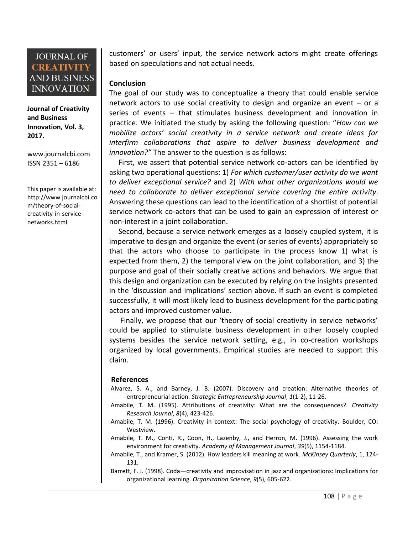**Journal of Creativity and Business Innovation, Vol. 3, 2017.**

[www.journalcbi.com](http://www.journalcbi.com/) ISSN 2351 – 6186

This paper is available at: [http://www.journalcbi.co](http://www.journalcbi.com/ideation-using-analogies.html) [m/theory-of-social](http://www.journalcbi.com/ideation-using-analogies.html)[creativity-in-service](http://www.journalcbi.com/ideation-using-analogies.html)[networks.html](http://www.journalcbi.com/ideation-using-analogies.html) 

customers' or users' input, the service network actors might create offerings based on speculations and not actual needs.

#### **Conclusion**

The goal of our study was to conceptualize a theory that could enable service network actors to use social creativity to design and organize an event – or a series of events – that stimulates business development and innovation in practice. We initiated the study by asking the following question: "*How can we mobilize actors' social creativity in a service network and create ideas for interfirm collaborations that aspire to deliver business development and innovation?"* The answer to the question is as follows:

First, we assert that potential service network co-actors can be identified by asking two operational questions: 1) *For which customer/user activity do we want to deliver exceptional service?* and 2) *With what other organizations would we need to collaborate to deliver exceptional service covering the entire activity*. Answering these questions can lead to the identification of a shortlist of potential service network co-actors that can be used to gain an expression of interest or non-interest in a joint collaboration.

Second, because a service network emerges as a loosely coupled system, it is imperative to design and organize the event (or series of events) appropriately so that the actors who choose to participate in the process know 1) what is expected from them, 2) the temporal view on the joint collaboration, and 3) the purpose and goal of their socially creative actions and behaviors. We argue that this design and organization can be executed by relying on the insights presented in the 'discussion and implications' section above. If such an event is completed successfully, it will most likely lead to business development for the participating actors and improved customer value.

Finally, we propose that our 'theory of social creativity in service networks' could be applied to stimulate business development in other loosely coupled systems besides the service network setting, e.g., in co-creation workshops organized by local governments. Empirical studies are needed to support this claim.

#### **References**

- Alvarez, S. A., and Barney, J. B. (2007). Discovery and creation: Alternative theories of entrepreneurial action. *Strategic Entrepreneurship Journal*, *1*(1‐2), 11-26.
- Amabile, T. M. (1995). Attributions of creativity: What are the consequences?. *Creativity Research Journal*, *8*(4), 423-426.
- Amabile, T. M. (1996). Creativity in context: The social psychology of creativity. Boulder, CO: Westview.
- Amabile, T. M., Conti, R., Coon, H., Lazenby, J., and Herron, M. (1996). Assessing the work environment for creativity. *Academy of Management Journal*, *39*(5), 1154-1184.

Amabile, T., and Kramer, S. (2012). How leaders kill meaning at work. *McKinsey Quarterly*, 1, 124- 131.

Barrett, F. J. (1998). Coda—creativity and improvisation in jazz and organizations: Implications for organizational learning. *Organization Science*, *9*(5), 605-622.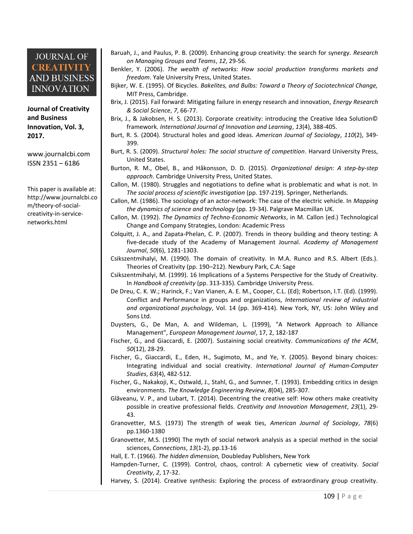**Journal of Creativity and Business Innovation, Vol. 3, 2017.**

[www.journalcbi.com](http://www.journalcbi.com/) ISSN 2351 – 6186

This paper is available at: [http://www.journalcbi.co](http://www.journalcbi.com/ideation-using-analogies.html) [m/theory-of-social](http://www.journalcbi.com/ideation-using-analogies.html)[creativity-in-service](http://www.journalcbi.com/ideation-using-analogies.html)[networks.html](http://www.journalcbi.com/ideation-using-analogies.html) 

- Baruah, J., and Paulus, P. B. (2009). Enhancing group creativity: the search for synergy. *Research on Managing Groups and Teams*, *12*, 29-56.
- Benkler, Y. (2006). *The wealth of networks: How social production transforms markets and freedom*. Yale University Press, United States.
- Bijker, W. E. (1995). Of Bicycles. *Bakelites, and Bulbs: Toward a Theory of Sociotechnical Change,*  MIT Press, Cambridge.
- Brix, J. (2015). Fail forward: Mitigating failure in energy research and innovation, *Energy Research & Social Science*, *7*, 66-77.
- Brix, J., & Jakobsen, H. S. (2013). Corporate creativity: introducing the Creative Idea Solution© framework. *International Journal of Innovation and Learning*, *13*(4), 388-405.
- Burt, R. S. (2004). Structural holes and good ideas. *American Journal of Sociology*, *110*(2), 349- 399.
- Burt, R. S. (2009). *Structural holes: The social structure of competition*. Harvard University Press, United States.
- Burton, R. M., Obel, B., and Håkonsson, D. D. (2015). *Organizational design: A step-by-step approach*. Cambridge University Press, United States.
- Callon, M. (1980). Struggles and negotiations to define what is problematic and what is not. In *The social process of scientific investigation* (pp. 197-219). Springer, Netherlands.
- Callon, M. (1986). The sociology of an actor-network: The case of the electric vehicle. In *Mapping the dynamics of science and technology* (pp. 19-34). Palgrave Macmillan UK.
- Callon, M. (1992). *The Dynamics of Techno-Economic Networks*, in M. Callon (ed.) Technological Change and Company Strategies, London: Academic Press
- Colquitt, J. A., and Zapata-Phelan, C. P. (2007). Trends in theory building and theory testing: A five-decade study of the Academy of Management Journal. *Academy of Management Journal*, *50*(6), 1281-1303.
- Csikszentmihalyi, M. (1990). The domain of creativity. In M.A. Runco and R.S. Albert (Eds.). Theories of Creativity (pp. 190–212). Newbury Park, C.A: Sage
- Csikszentmihalyi, M. (1999). 16 Implications of a Systems Perspective for the Study of Creativity. In *Handbook of creativity* (pp. 313-335). Cambridge University Press.
- De Dreu, C. K. W.; Harinck, F.; Van Vianen, A. E. M., Cooper, C.L. (Ed); Robertson, I.T. (Ed). (1999). Conflict and Performance in groups and organizations, *International review of industrial and organizational psychology*, Vol. 14 (pp. 369-414). New York, NY, US: John Wiley and Sons Ltd.
- Duysters, G., De Man, A. and Wildeman, L. (1999), "A Network Approach to Alliance Management", *European Management Journal*, 17, 2, 182-187
- Fischer, G., and Giaccardi, E. (2007). Sustaining social creativity. *Communications of the ACM*, *50*(12), 28-29.
- Fischer, G., Giaccardi, E., Eden, H., Sugimoto, M., and Ye, Y. (2005). Beyond binary choices: Integrating individual and social creativity. *International Journal of Human-Computer Studies*, *63*(4), 482-512.
- Fischer, G., Nakakoji, K., Ostwald, J., Stahl, G., and Sumner, T. (1993). Embedding critics in design environments. *The Knowledge Engineering Review*, *8*(04), 285-307.
- Glăveanu, V. P., and Lubart, T. (2014). Decentring the creative self: How others make creativity possible in creative professional fields. *Creativity and Innovation Management*, *23*(1), 29- 43.
- Granovetter, M.S. (1973) The strength of weak ties, *American Journal of Sociology*, *78*(6) pp.1360-1380
- Granovetter, M.S. (1990) The myth of social network analysis as a special method in the social sciences, *Connections*, *13*(1-2), pp.13-16
- Hall, E. T. (1966). *The hidden dimension,* Doubleday Publishers, New York
- Hampden-Turner, C. (1999). Control, chaos, control: A cybernetic view of creativity. *Social Creativity*, *2*, 17-32.
- Harvey, S. (2014). Creative synthesis: Exploring the process of extraordinary group creativity.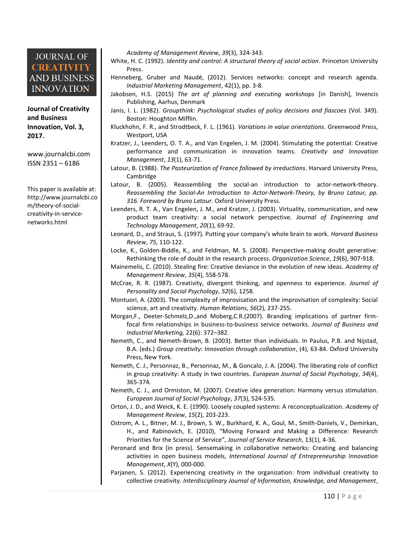**Journal of Creativity and Business Innovation, Vol. 3, 2017.**

[www.journalcbi.com](http://www.journalcbi.com/) ISSN 2351 – 6186

This paper is available at: [http://www.journalcbi.co](http://www.journalcbi.com/ideation-using-analogies.html) [m/theory-of-social](http://www.journalcbi.com/ideation-using-analogies.html)[creativity-in-service](http://www.journalcbi.com/ideation-using-analogies.html)[networks.html](http://www.journalcbi.com/ideation-using-analogies.html) 

*Academy of Management Review*, *39*(3), 324-343.

- White, H. C. (1992). *Identity and control: A structural theory of social action*. Princeton University Press.
- Henneberg, Gruber and Naudé, (2012). Services networks: concept and research agenda. *Industrial Marketing Management*, 42(1), pp. 3-8.
- Jakobsen, H.S. (2015) *The art of planning and executing workshops* [in Danish], Invencis Publishing, Aarhus, Denmark
- Janis, I. L. (1982). *Groupthink: Psychological studies of policy decisions and fiascoes* (Vol. 349). Boston: Houghton Mifflin.
- Kluckhohn, F. R., and Strodtbeck, F. L. (1961). *Variations in value orientations*. Greenwood Press, Westport, USA
- Kratzer, J., Leenders, O. T. A., and Van Engelen, J. M. (2004). Stimulating the potential: Creative performance and communication in innovation teams. *Creativity and Innovation Management*, *13*(1), 63-71.
- Latour, B. (1988). *The Pasteurization of France followed by irreductions*. Harvard University Press, Cambridge
- Latour, B. (2005). Reassembling the social-an introduction to actor-network-theory. *Reassembling the Social-An Introduction to Actor-Network-Theory, by Bruno Latour, pp. 316. Foreword by Bruno Latour*. Oxford University Press.
- Leenders, R. T. A., Van Engelen, J. M., and Kratzer, J. (2003). Virtuality, communication, and new product team creativity: a social network perspective. *Journal of Engineering and Technology Management*, *20*(1), 69-92.
- Leonard, D., and Straus, S. (1997). Putting your company's whole brain to work. *Harvard Business Review*, *75*, 110-122.
- Locke, K., Golden-Biddle, K., and Feldman, M. S. (2008). Perspective-making doubt generative: Rethinking the role of doubt in the research process. *Organization Science*, *19*(6), 907-918.
- Mainemelis, C. (2010). Stealing fire: Creative deviance in the evolution of new ideas. *Academy of Management Review*, *35*(4), 558-578.
- McCrae, R. R. (1987). Creativity, divergent thinking, and openness to experience. *Journal of Personality and Social Psychology*, *52*(6), 1258.
- Montuori, A. (2003). The complexity of improvisation and the improvisation of complexity: Social science, art and creativity. *Human Relations*, *56*(2), 237-255.
- Morgan,F., Deeter-Schmelz,D.,and Moberg,C.R.(2007). Branding implications of partner firmfocal firm relationships in business-to-business service networks. *Journal of Business and Industrial Marketing,* 22(6): 372–382.
- Nemeth, C., and Nemeth-Brown, B. (2003). Better than individuals. In Paulus, P.B. and Nijstad, B.A. (eds.) *Group creativity: Innovation through collaboration*, (4), 63-84. Oxford University Press, New York.
- Nemeth, C. J., Personnaz, B., Personnaz, M., & Goncalo, J. A. (2004). The liberating role of conflict in group creativity: A study in two countries. *European Journal of Social Psychology*, *34*(4), 365-374.
- Nemeth, C. J., and Ormiston, M. (2007). Creative idea generation: Harmony versus stimulation. *European Journal of Social Psychology*, *37*(3), 524-535.
- Orton, J. D., and Weick, K. E. (1990). Loosely coupled systems: A reconceptualization. *Academy of Management Review*, *15*(2), 203-223.
- Ostrom, A. L., Bitner, M. J., Brown, S. W., Burkhard, K. A., Goul, M., Smith-Daniels, V., Demirkan, H., and Rabinovich, E. (2010), "Moving Forward and Making a Difference: Research Priorities for the Science of Service", *Journal of Service Research*, 13(1), 4-36.
- Peronard and Brix (in press). Sensemaking in collaborative networks: Creating and balancing activities in open business models, *International Journal of Entrepreneurship Innovation Management*, *X*(Y), 000-000.
- Parjanen, S. (2012). Experiencing creativity in the organization: from individual creativity to collective creativity. *Interdisciplinary Journal of Information, Knowledge, and Management*,